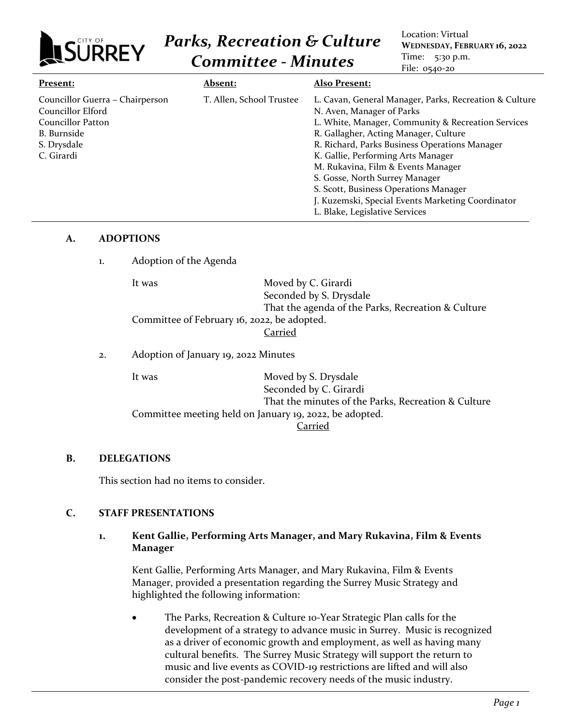

# *Parks, Recreation & Culture Committee - Minutes*

Location: Virtual **WEDNESDAY, FEBRUARY 16, 2022** Time: 5:30 p.m. File: 0540-20

| Present:                                                                                                                     | <b>Absent:</b>           | <b>Also Present:</b>                                                                                                                                                                                                                                                                                                                                                                                                                                                              |
|------------------------------------------------------------------------------------------------------------------------------|--------------------------|-----------------------------------------------------------------------------------------------------------------------------------------------------------------------------------------------------------------------------------------------------------------------------------------------------------------------------------------------------------------------------------------------------------------------------------------------------------------------------------|
| Councillor Guerra - Chairperson<br>Councillor Elford<br>Councillor Patton<br><b>B.</b> Burnside<br>S. Drysdale<br>C. Girardi | T. Allen, School Trustee | L. Cavan, General Manager, Parks, Recreation & Culture<br>N. Aven, Manager of Parks<br>L. White, Manager, Community & Recreation Services<br>R. Gallagher, Acting Manager, Culture<br>R. Richard, Parks Business Operations Manager<br>K. Gallie, Performing Arts Manager<br>M. Rukavina, Film & Events Manager<br>S. Gosse, North Surrey Manager<br>S. Scott, Business Operations Manager<br>J. Kuzemski, Special Events Marketing Coordinator<br>L. Blake, Legislative Services |

### **A. ADOPTIONS**

1. Adoption of the Agenda

| It was                                      | Moved by C. Girardi                                |  |
|---------------------------------------------|----------------------------------------------------|--|
|                                             | Seconded by S. Drysdale                            |  |
|                                             | That the agenda of the Parks, Recreation & Culture |  |
| Committee of February 16, 2022, be adopted. |                                                    |  |
|                                             | Carried                                            |  |
|                                             |                                                    |  |

## 2. Adoption of January 19, 2022 Minutes

It was Moved by S. Drysdale Seconded by C. Girardi That the minutes of the Parks, Recreation & Culture Committee meeting held on January 19, 2022, be adopted. Carried

# **B. DELEGATIONS**

This section had no items to consider.

# **C. STAFF PRESENTATIONS**

## **1. Kent Gallie, Performing Arts Manager, and Mary Rukavina, Film & Events Manager**

Kent Gallie, Performing Arts Manager, and Mary Rukavina, Film & Events Manager, provided a presentation regarding the Surrey Music Strategy and highlighted the following information:

The Parks, Recreation & Culture 10-Year Strategic Plan calls for the development of a strategy to advance music in Surrey. Music is recognized as a driver of economic growth and employment, as well as having many cultural benefits. The Surrey Music Strategy will support the return to music and live events as COVID-19 restrictions are lifted and will also consider the post-pandemic recovery needs of the music industry.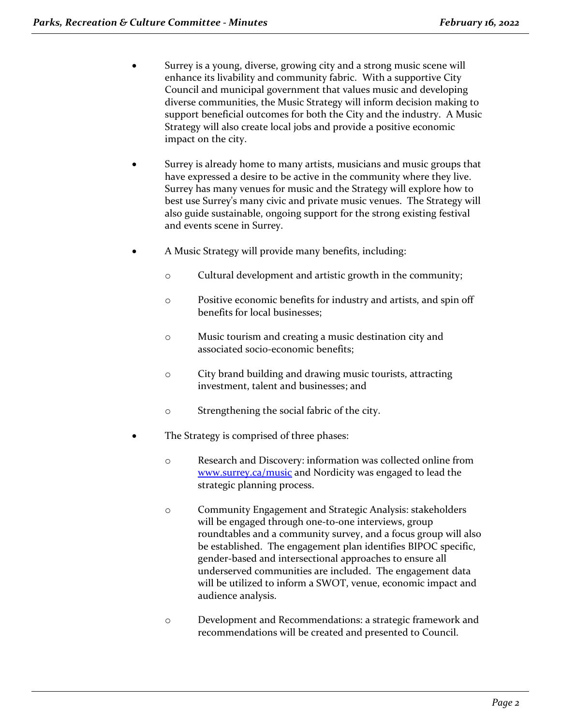- Surrey is a young, diverse, growing city and a strong music scene will enhance its livability and community fabric. With a supportive City Council and municipal government that values music and developing diverse communities, the Music Strategy will inform decision making to support beneficial outcomes for both the City and the industry. A Music Strategy will also create local jobs and provide a positive economic impact on the city.
- Surrey is already home to many artists, musicians and music groups that have expressed a desire to be active in the community where they live. Surrey has many venues for music and the Strategy will explore how to best use Surrey's many civic and private music venues. The Strategy will also guide sustainable, ongoing support for the strong existing festival and events scene in Surrey.
- A Music Strategy will provide many benefits, including:
	- o Cultural development and artistic growth in the community;
	- o Positive economic benefits for industry and artists, and spin off benefits for local businesses;
	- o Music tourism and creating a music destination city and associated socio-economic benefits;
	- o City brand building and drawing music tourists, attracting investment, talent and businesses; and
	- o Strengthening the social fabric of the city.
	- The Strategy is comprised of three phases:
		- o Research and Discovery: information was collected online from [www.surrey.ca/music](http://www.surrey.ca/music) and Nordicity was engaged to lead the strategic planning process.
		- o Community Engagement and Strategic Analysis: stakeholders will be engaged through one-to-one interviews, group roundtables and a community survey, and a focus group will also be established. The engagement plan identifies BIPOC specific, gender-based and intersectional approaches to ensure all underserved communities are included. The engagement data will be utilized to inform a SWOT, venue, economic impact and audience analysis.
		- o Development and Recommendations: a strategic framework and recommendations will be created and presented to Council.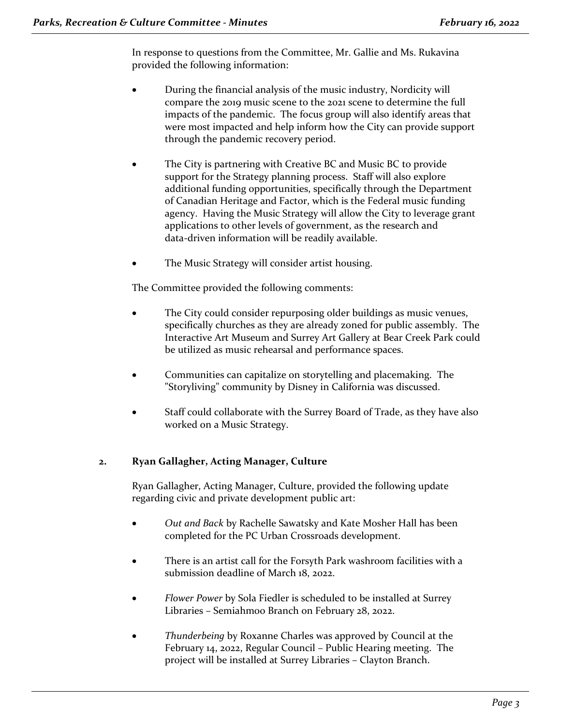In response to questions from the Committee, Mr. Gallie and Ms. Rukavina provided the following information:

- During the financial analysis of the music industry, Nordicity will compare the 2019 music scene to the 2021 scene to determine the full impacts of the pandemic. The focus group will also identify areas that were most impacted and help inform how the City can provide support through the pandemic recovery period.
- The City is partnering with Creative BC and Music BC to provide support for the Strategy planning process. Staff will also explore additional funding opportunities, specifically through the Department of Canadian Heritage and Factor, which is the Federal music funding agency. Having the Music Strategy will allow the City to leverage grant applications to other levels of government, as the research and data-driven information will be readily available.
- The Music Strategy will consider artist housing.

The Committee provided the following comments:

- The City could consider repurposing older buildings as music venues, specifically churches as they are already zoned for public assembly. The Interactive Art Museum and Surrey Art Gallery at Bear Creek Park could be utilized as music rehearsal and performance spaces.
- Communities can capitalize on storytelling and placemaking. The "Storyliving" community by Disney in California was discussed.
- Staff could collaborate with the Surrey Board of Trade, as they have also worked on a Music Strategy.

#### **2. Ryan Gallagher, Acting Manager, Culture**

Ryan Gallagher, Acting Manager, Culture, provided the following update regarding civic and private development public art:

- *Out and Back* by Rachelle Sawatsky and Kate Mosher Hall has been completed for the PC Urban Crossroads development.
- There is an artist call for the Forsyth Park washroom facilities with a submission deadline of March 18, 2022.
- *Flower Power* by Sola Fiedler is scheduled to be installed at Surrey Libraries – Semiahmoo Branch on February 28, 2022.
- *Thunderbeing* by Roxanne Charles was approved by Council at the February 14, 2022, Regular Council – Public Hearing meeting. The project will be installed at Surrey Libraries – Clayton Branch.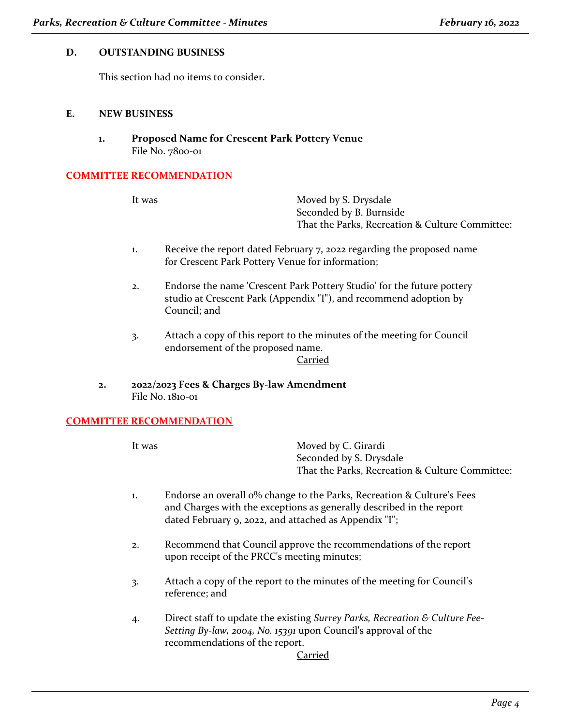#### **D. OUTSTANDING BUSINESS**

This section had no items to consider.

#### **E. NEW BUSINESS**

**1. Proposed Name for Crescent Park Pottery Venue** File No. 7800-01

### **COMMITTEE RECOMMENDATION**

It was Moved by S. Drysdale Seconded by B. Burnside That the Parks, Recreation & Culture Committee:

- 1. Receive the report dated February 7, 2022 regarding the proposed name for Crescent Park Pottery Venue for information;
- 2. Endorse the name 'Crescent Park Pottery Studio' for the future pottery studio at Crescent Park (Appendix "I"), and recommend adoption by Council; and
- 3. Attach a copy of this report to the minutes of the meeting for Council endorsement of the proposed name.

Carried

**2. 2022/2023 Fees & Charges By-law Amendment**  File No. 1810-01

#### **COMMITTEE RECOMMENDATION**

It was Moved by C. Girardi Seconded by S. Drysdale That the Parks, Recreation & Culture Committee:

- 1. Endorse an overall 0% change to the Parks, Recreation & Culture's Fees and Charges with the exceptions as generally described in the report dated February 9, 2022, and attached as Appendix "I";
- 2. Recommend that Council approve the recommendations of the report upon receipt of the PRCC's meeting minutes;
- 3. Attach a copy of the report to the minutes of the meeting for Council's reference; and
- 4. Direct staff to update the existing *Surrey Parks, Recreation & Culture Fee-Setting By-law, 2004, No. 15391* upon Council's approval of the recommendations of the report.

Carried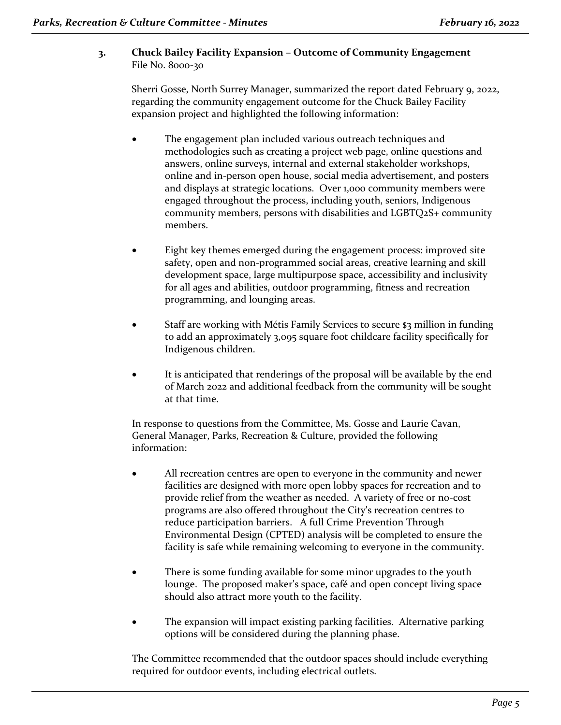# **3. Chuck Bailey Facility Expansion – Outcome of Community Engagement** File No. 8000-30

Sherri Gosse, North Surrey Manager, summarized the report dated February 9, 2022, regarding the community engagement outcome for the Chuck Bailey Facility expansion project and highlighted the following information:

- The engagement plan included various outreach techniques and methodologies such as creating a project web page, online questions and answers, online surveys, internal and external stakeholder workshops, online and in-person open house, social media advertisement, and posters and displays at strategic locations. Over 1,000 community members were engaged throughout the process, including youth, seniors, Indigenous community members, persons with disabilities and LGBTQ2S+ community members.
- Eight key themes emerged during the engagement process: improved site safety, open and non-programmed social areas, creative learning and skill development space, large multipurpose space, accessibility and inclusivity for all ages and abilities, outdoor programming, fitness and recreation programming, and lounging areas.
- Staff are working with Métis Family Services to secure \$3 million in funding to add an approximately 3,095 square foot childcare facility specifically for Indigenous children.
- It is anticipated that renderings of the proposal will be available by the end of March 2022 and additional feedback from the community will be sought at that time.

In response to questions from the Committee, Ms. Gosse and Laurie Cavan, General Manager, Parks, Recreation & Culture, provided the following information:

- All recreation centres are open to everyone in the community and newer facilities are designed with more open lobby spaces for recreation and to provide relief from the weather as needed. A variety of free or no-cost programs are also offered throughout the City's recreation centres to reduce participation barriers. A full Crime Prevention Through Environmental Design (CPTED) analysis will be completed to ensure the facility is safe while remaining welcoming to everyone in the community.
- There is some funding available for some minor upgrades to the youth lounge. The proposed maker's space, café and open concept living space should also attract more youth to the facility.
- The expansion will impact existing parking facilities. Alternative parking options will be considered during the planning phase.

The Committee recommended that the outdoor spaces should include everything required for outdoor events, including electrical outlets.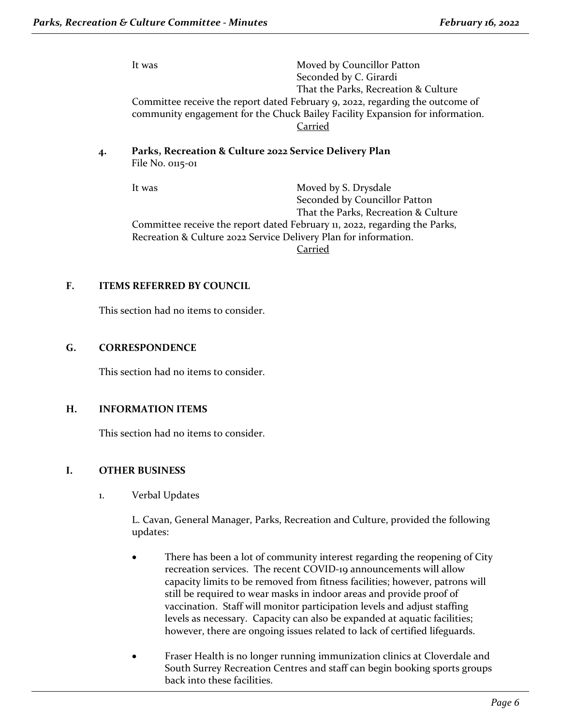It was Moved by Councillor Patton Seconded by C. Girardi That the Parks, Recreation & Culture Committee receive the report dated February 9, 2022, regarding the outcome of community engagement for the Chuck Bailey Facility Expansion for information. Carried

### **4. Parks, Recreation & Culture 2022 Service Delivery Plan**  File No. 0115-01

It was Moved by S. Drysdale Seconded by Councillor Patton That the Parks, Recreation & Culture Committee receive the report dated February 11, 2022, regarding the Parks, Recreation & Culture 2022 Service Delivery Plan for information. Carried

## **F. ITEMS REFERRED BY COUNCIL**

This section had no items to consider.

## **G. CORRESPONDENCE**

This section had no items to consider.

#### **H. INFORMATION ITEMS**

This section had no items to consider.

## **I. OTHER BUSINESS**

1. Verbal Updates

L. Cavan, General Manager, Parks, Recreation and Culture, provided the following updates:

- There has been a lot of community interest regarding the reopening of City recreation services. The recent COVID-19 announcements will allow capacity limits to be removed from fitness facilities; however, patrons will still be required to wear masks in indoor areas and provide proof of vaccination. Staff will monitor participation levels and adjust staffing levels as necessary. Capacity can also be expanded at aquatic facilities; however, there are ongoing issues related to lack of certified lifeguards.
- Fraser Health is no longer running immunization clinics at Cloverdale and South Surrey Recreation Centres and staff can begin booking sports groups back into these facilities.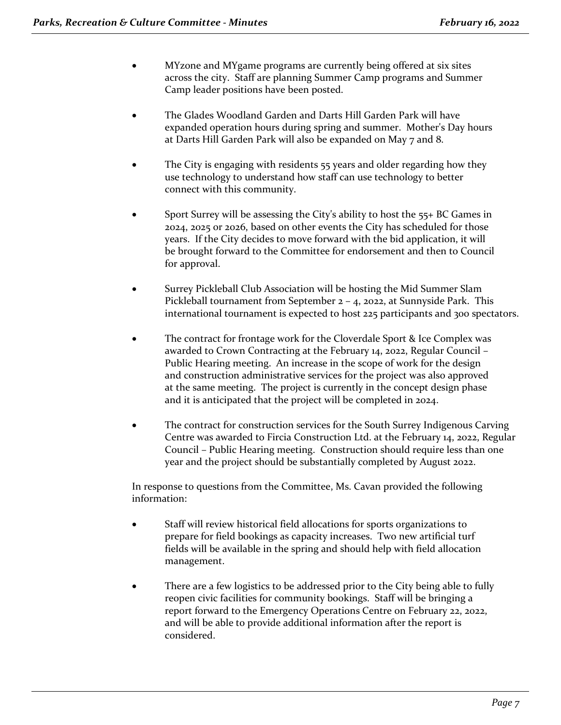- MYzone and MYgame programs are currently being offered at six sites across the city. Staff are planning Summer Camp programs and Summer Camp leader positions have been posted.
- The Glades Woodland Garden and Darts Hill Garden Park will have expanded operation hours during spring and summer. Mother's Day hours at Darts Hill Garden Park will also be expanded on May 7 and 8.
- The City is engaging with residents 55 years and older regarding how they use technology to understand how staff can use technology to better connect with this community.
- Sport Surrey will be assessing the City's ability to host the 55+ BC Games in 2024, 2025 or 2026, based on other events the City has scheduled for those years. If the City decides to move forward with the bid application, it will be brought forward to the Committee for endorsement and then to Council for approval.
- Surrey Pickleball Club Association will be hosting the Mid Summer Slam Pickleball tournament from September 2 – 4, 2022, at Sunnyside Park. This international tournament is expected to host 225 participants and 300 spectators.
- The contract for frontage work for the Cloverdale Sport & Ice Complex was awarded to Crown Contracting at the February 14, 2022, Regular Council – Public Hearing meeting. An increase in the scope of work for the design and construction administrative services for the project was also approved at the same meeting. The project is currently in the concept design phase and it is anticipated that the project will be completed in 2024.
- The contract for construction services for the South Surrey Indigenous Carving Centre was awarded to Fircia Construction Ltd. at the February 14, 2022, Regular Council – Public Hearing meeting. Construction should require less than one year and the project should be substantially completed by August 2022.

In response to questions from the Committee, Ms. Cavan provided the following information:

- Staff will review historical field allocations for sports organizations to prepare for field bookings as capacity increases. Two new artificial turf fields will be available in the spring and should help with field allocation management.
- There are a few logistics to be addressed prior to the City being able to fully reopen civic facilities for community bookings. Staff will be bringing a report forward to the Emergency Operations Centre on February 22, 2022, and will be able to provide additional information after the report is considered.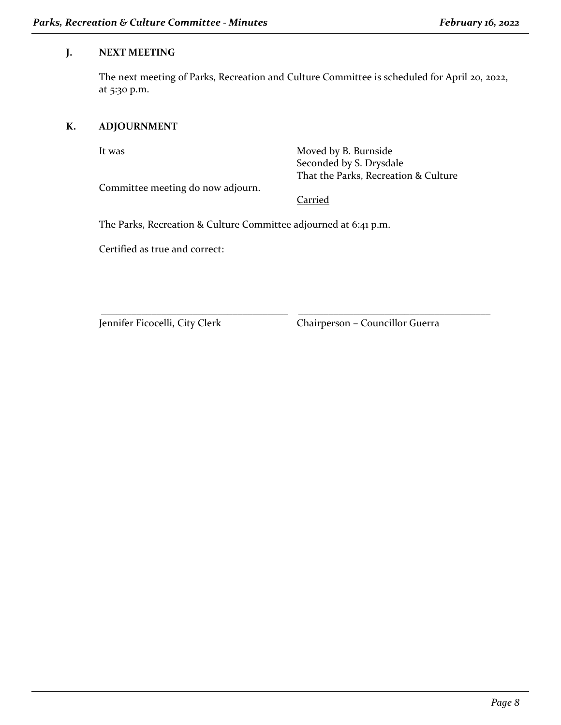## **J. NEXT MEETING**

The next meeting of Parks, Recreation and Culture Committee is scheduled for April 20, 2022, at 5:30 p.m.

# **K. ADJOURNMENT**

It was Moved by B. Burnside Seconded by S. Drysdale That the Parks, Recreation & Culture

Committee meeting do now adjourn.

**Carried** 

\_\_\_\_\_\_\_\_\_\_\_\_\_\_\_\_\_\_\_\_\_\_\_\_\_\_\_\_\_\_\_\_\_\_\_\_\_ \_\_\_\_\_\_\_\_\_\_\_\_\_\_\_\_\_\_\_\_\_\_\_\_\_\_\_\_\_\_\_\_\_\_\_\_\_\_

The Parks, Recreation & Culture Committee adjourned at 6:41 p.m.

Certified as true and correct:

Jennifer Ficocelli, City Clerk Chairperson – Councillor Guerra